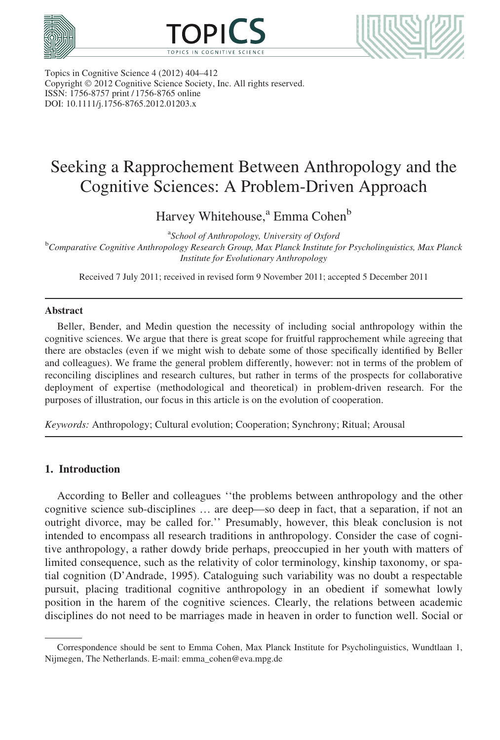





Topics in Cognitive Science 4 (2012) 404–412 Copyright © 2012 Cognitive Science Society, Inc. All rights reserved. ISSN: 1756-8757 print / 1756-8765 online DOI: 10.1111/j.1756-8765.2012.01203.x

# Seeking a Rapprochement Between Anthropology and the Cognitive Sciences: A Problem-Driven Approach

Harvey Whitehouse,<sup>a</sup> Emma Cohen<sup>b</sup>

<sup>a</sup>School of Anthropology, University of Oxford

<sup>a</sup>School of Anthropology, University of Oxford<br><sup>b</sup>Comparative Cognitive Anthropology Research Group, Max Planck Institute for Psycholinguistics, Max Planck Institute for Evolutionary Anthropology

Received 7 July 2011; received in revised form 9 November 2011; accepted 5 December 2011

### Abstract

Beller, Bender, and Medin question the necessity of including social anthropology within the cognitive sciences. We argue that there is great scope for fruitful rapprochement while agreeing that there are obstacles (even if we might wish to debate some of those specifically identified by Beller and colleagues). We frame the general problem differently, however: not in terms of the problem of reconciling disciplines and research cultures, but rather in terms of the prospects for collaborative deployment of expertise (methodological and theoretical) in problem-driven research. For the purposes of illustration, our focus in this article is on the evolution of cooperation.

Keywords: Anthropology; Cultural evolution; Cooperation; Synchrony; Ritual; Arousal

# 1. Introduction

According to Beller and colleagues ''the problems between anthropology and the other cognitive science sub-disciplines … are deep—so deep in fact, that a separation, if not an outright divorce, may be called for.'' Presumably, however, this bleak conclusion is not intended to encompass all research traditions in anthropology. Consider the case of cognitive anthropology, a rather dowdy bride perhaps, preoccupied in her youth with matters of limited consequence, such as the relativity of color terminology, kinship taxonomy, or spatial cognition (D'Andrade, 1995). Cataloguing such variability was no doubt a respectable pursuit, placing traditional cognitive anthropology in an obedient if somewhat lowly position in the harem of the cognitive sciences. Clearly, the relations between academic disciplines do not need to be marriages made in heaven in order to function well. Social or

Correspondence should be sent to Emma Cohen, Max Planck Institute for Psycholinguistics, Wundtlaan 1, Nijmegen, The Netherlands. E-mail: emma\_cohen@eva.mpg.de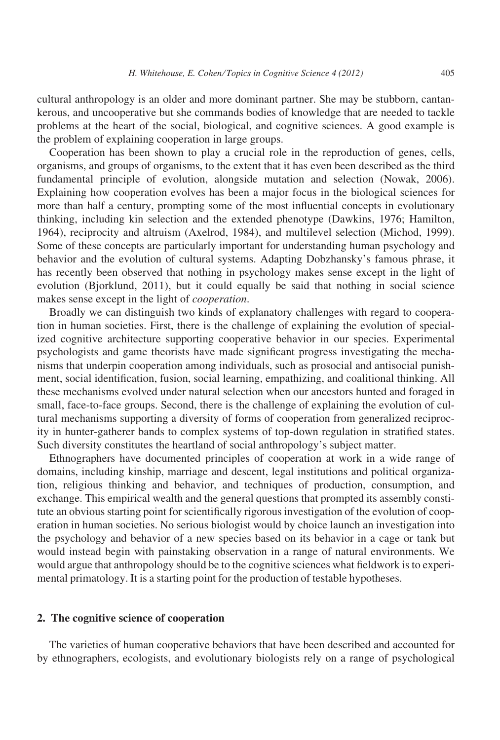cultural anthropology is an older and more dominant partner. She may be stubborn, cantankerous, and uncooperative but she commands bodies of knowledge that are needed to tackle problems at the heart of the social, biological, and cognitive sciences. A good example is the problem of explaining cooperation in large groups.

Cooperation has been shown to play a crucial role in the reproduction of genes, cells, organisms, and groups of organisms, to the extent that it has even been described as the third fundamental principle of evolution, alongside mutation and selection (Nowak, 2006). Explaining how cooperation evolves has been a major focus in the biological sciences for more than half a century, prompting some of the most influential concepts in evolutionary thinking, including kin selection and the extended phenotype (Dawkins, 1976; Hamilton, 1964), reciprocity and altruism (Axelrod, 1984), and multilevel selection (Michod, 1999). Some of these concepts are particularly important for understanding human psychology and behavior and the evolution of cultural systems. Adapting Dobzhansky's famous phrase, it has recently been observed that nothing in psychology makes sense except in the light of evolution (Bjorklund, 2011), but it could equally be said that nothing in social science makes sense except in the light of cooperation.

Broadly we can distinguish two kinds of explanatory challenges with regard to cooperation in human societies. First, there is the challenge of explaining the evolution of specialized cognitive architecture supporting cooperative behavior in our species. Experimental psychologists and game theorists have made significant progress investigating the mechanisms that underpin cooperation among individuals, such as prosocial and antisocial punishment, social identification, fusion, social learning, empathizing, and coalitional thinking. All these mechanisms evolved under natural selection when our ancestors hunted and foraged in small, face-to-face groups. Second, there is the challenge of explaining the evolution of cultural mechanisms supporting a diversity of forms of cooperation from generalized reciprocity in hunter-gatherer bands to complex systems of top-down regulation in stratified states. Such diversity constitutes the heartland of social anthropology's subject matter.

Ethnographers have documented principles of cooperation at work in a wide range of domains, including kinship, marriage and descent, legal institutions and political organization, religious thinking and behavior, and techniques of production, consumption, and exchange. This empirical wealth and the general questions that prompted its assembly constitute an obvious starting point for scientifically rigorous investigation of the evolution of cooperation in human societies. No serious biologist would by choice launch an investigation into the psychology and behavior of a new species based on its behavior in a cage or tank but would instead begin with painstaking observation in a range of natural environments. We would argue that anthropology should be to the cognitive sciences what fieldwork is to experimental primatology. It is a starting point for the production of testable hypotheses.

# 2. The cognitive science of cooperation

The varieties of human cooperative behaviors that have been described and accounted for by ethnographers, ecologists, and evolutionary biologists rely on a range of psychological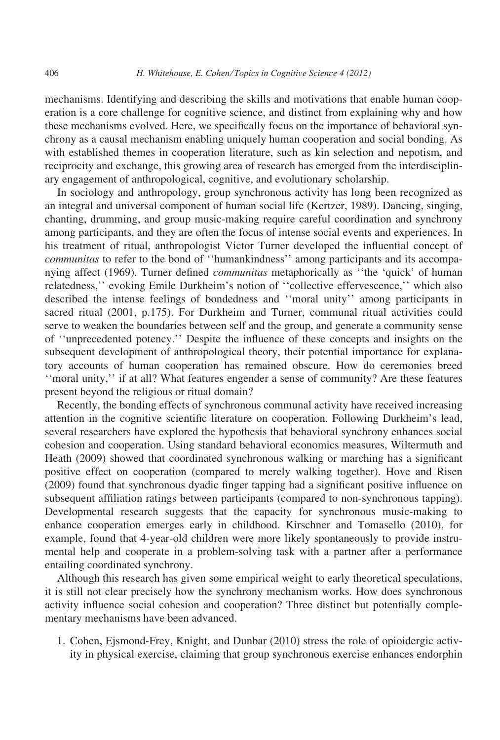mechanisms. Identifying and describing the skills and motivations that enable human cooperation is a core challenge for cognitive science, and distinct from explaining why and how these mechanisms evolved. Here, we specifically focus on the importance of behavioral synchrony as a causal mechanism enabling uniquely human cooperation and social bonding. As with established themes in cooperation literature, such as kin selection and nepotism, and reciprocity and exchange, this growing area of research has emerged from the interdisciplinary engagement of anthropological, cognitive, and evolutionary scholarship.

In sociology and anthropology, group synchronous activity has long been recognized as an integral and universal component of human social life (Kertzer, 1989). Dancing, singing, chanting, drumming, and group music-making require careful coordination and synchrony among participants, and they are often the focus of intense social events and experiences. In his treatment of ritual, anthropologist Victor Turner developed the influential concept of communitas to refer to the bond of ''humankindness'' among participants and its accompanying affect (1969). Turner defined *communitas* metaphorically as "the 'quick' of human relatedness,'' evoking Emile Durkheim's notion of ''collective effervescence,'' which also described the intense feelings of bondedness and ''moral unity'' among participants in sacred ritual (2001, p.175). For Durkheim and Turner, communal ritual activities could serve to weaken the boundaries between self and the group, and generate a community sense of ''unprecedented potency.'' Despite the influence of these concepts and insights on the subsequent development of anthropological theory, their potential importance for explanatory accounts of human cooperation has remained obscure. How do ceremonies breed ''moral unity,'' if at all? What features engender a sense of community? Are these features present beyond the religious or ritual domain?

Recently, the bonding effects of synchronous communal activity have received increasing attention in the cognitive scientific literature on cooperation. Following Durkheim's lead, several researchers have explored the hypothesis that behavioral synchrony enhances social cohesion and cooperation. Using standard behavioral economics measures, Wiltermuth and Heath (2009) showed that coordinated synchronous walking or marching has a significant positive effect on cooperation (compared to merely walking together). Hove and Risen (2009) found that synchronous dyadic finger tapping had a significant positive influence on subsequent affiliation ratings between participants (compared to non-synchronous tapping). Developmental research suggests that the capacity for synchronous music-making to enhance cooperation emerges early in childhood. Kirschner and Tomasello (2010), for example, found that 4-year-old children were more likely spontaneously to provide instrumental help and cooperate in a problem-solving task with a partner after a performance entailing coordinated synchrony.

Although this research has given some empirical weight to early theoretical speculations, it is still not clear precisely how the synchrony mechanism works. How does synchronous activity influence social cohesion and cooperation? Three distinct but potentially complementary mechanisms have been advanced.

1. Cohen, Ejsmond-Frey, Knight, and Dunbar (2010) stress the role of opioidergic activity in physical exercise, claiming that group synchronous exercise enhances endorphin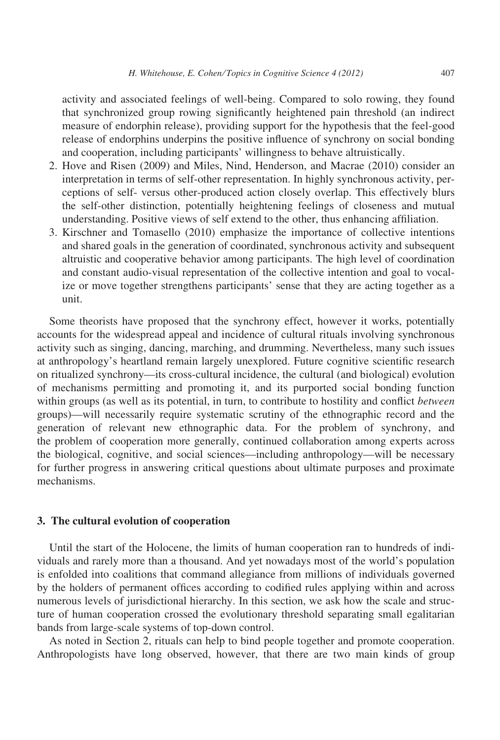activity and associated feelings of well-being. Compared to solo rowing, they found that synchronized group rowing significantly heightened pain threshold (an indirect measure of endorphin release), providing support for the hypothesis that the feel-good release of endorphins underpins the positive influence of synchrony on social bonding and cooperation, including participants' willingness to behave altruistically.

- 2. Hove and Risen (2009) and Miles, Nind, Henderson, and Macrae (2010) consider an interpretation in terms of self-other representation. In highly synchronous activity, perceptions of self- versus other-produced action closely overlap. This effectively blurs the self-other distinction, potentially heightening feelings of closeness and mutual understanding. Positive views of self extend to the other, thus enhancing affiliation.
- 3. Kirschner and Tomasello (2010) emphasize the importance of collective intentions and shared goals in the generation of coordinated, synchronous activity and subsequent altruistic and cooperative behavior among participants. The high level of coordination and constant audio-visual representation of the collective intention and goal to vocalize or move together strengthens participants' sense that they are acting together as a unit.

Some theorists have proposed that the synchrony effect, however it works, potentially accounts for the widespread appeal and incidence of cultural rituals involving synchronous activity such as singing, dancing, marching, and drumming. Nevertheless, many such issues at anthropology's heartland remain largely unexplored. Future cognitive scientific research on ritualized synchrony––its cross-cultural incidence, the cultural (and biological) evolution of mechanisms permitting and promoting it, and its purported social bonding function within groups (as well as its potential, in turn, to contribute to hostility and conflict between groups)––will necessarily require systematic scrutiny of the ethnographic record and the generation of relevant new ethnographic data. For the problem of synchrony, and the problem of cooperation more generally, continued collaboration among experts across the biological, cognitive, and social sciences––including anthropology––will be necessary for further progress in answering critical questions about ultimate purposes and proximate mechanisms.

# 3. The cultural evolution of cooperation

Until the start of the Holocene, the limits of human cooperation ran to hundreds of individuals and rarely more than a thousand. And yet nowadays most of the world's population is enfolded into coalitions that command allegiance from millions of individuals governed by the holders of permanent offices according to codified rules applying within and across numerous levels of jurisdictional hierarchy. In this section, we ask how the scale and structure of human cooperation crossed the evolutionary threshold separating small egalitarian bands from large-scale systems of top-down control.

As noted in Section 2, rituals can help to bind people together and promote cooperation. Anthropologists have long observed, however, that there are two main kinds of group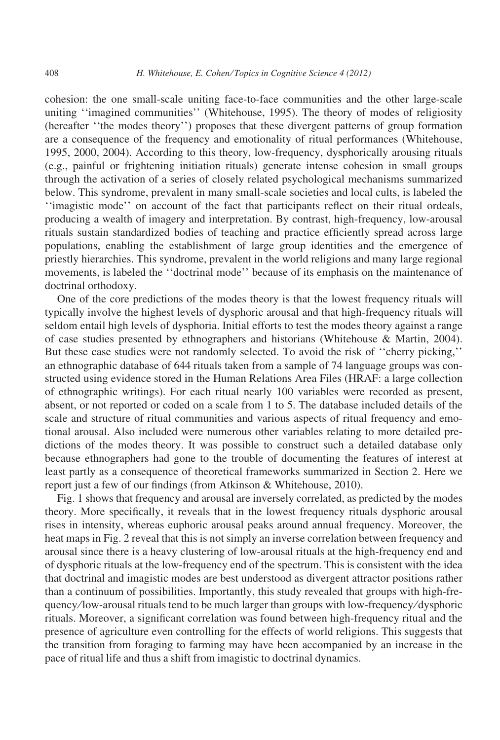cohesion: the one small-scale uniting face-to-face communities and the other large-scale uniting ''imagined communities'' (Whitehouse, 1995). The theory of modes of religiosity (hereafter ''the modes theory'') proposes that these divergent patterns of group formation are a consequence of the frequency and emotionality of ritual performances (Whitehouse, 1995, 2000, 2004). According to this theory, low-frequency, dysphorically arousing rituals (e.g., painful or frightening initiation rituals) generate intense cohesion in small groups through the activation of a series of closely related psychological mechanisms summarized below. This syndrome, prevalent in many small-scale societies and local cults, is labeled the ''imagistic mode'' on account of the fact that participants reflect on their ritual ordeals, producing a wealth of imagery and interpretation. By contrast, high-frequency, low-arousal rituals sustain standardized bodies of teaching and practice efficiently spread across large populations, enabling the establishment of large group identities and the emergence of priestly hierarchies. This syndrome, prevalent in the world religions and many large regional movements, is labeled the ''doctrinal mode'' because of its emphasis on the maintenance of doctrinal orthodoxy.

One of the core predictions of the modes theory is that the lowest frequency rituals will typically involve the highest levels of dysphoric arousal and that high-frequency rituals will seldom entail high levels of dysphoria. Initial efforts to test the modes theory against a range of case studies presented by ethnographers and historians (Whitehouse & Martin, 2004). But these case studies were not randomly selected. To avoid the risk of ''cherry picking,'' an ethnographic database of 644 rituals taken from a sample of 74 language groups was constructed using evidence stored in the Human Relations Area Files (HRAF: a large collection of ethnographic writings). For each ritual nearly 100 variables were recorded as present, absent, or not reported or coded on a scale from 1 to 5. The database included details of the scale and structure of ritual communities and various aspects of ritual frequency and emotional arousal. Also included were numerous other variables relating to more detailed predictions of the modes theory. It was possible to construct such a detailed database only because ethnographers had gone to the trouble of documenting the features of interest at least partly as a consequence of theoretical frameworks summarized in Section 2. Here we report just a few of our findings (from Atkinson & Whitehouse, 2010).

Fig. 1 shows that frequency and arousal are inversely correlated, as predicted by the modes theory. More specifically, it reveals that in the lowest frequency rituals dysphoric arousal rises in intensity, whereas euphoric arousal peaks around annual frequency. Moreover, the heat maps in Fig. 2 reveal that this is not simply an inverse correlation between frequency and arousal since there is a heavy clustering of low-arousal rituals at the high-frequency end and of dysphoric rituals at the low-frequency end of the spectrum. This is consistent with the idea that doctrinal and imagistic modes are best understood as divergent attractor positions rather than a continuum of possibilities. Importantly, this study revealed that groups with high-frequency ⁄low-arousal rituals tend to be much larger than groups with low-frequency ⁄ dysphoric rituals. Moreover, a significant correlation was found between high-frequency ritual and the presence of agriculture even controlling for the effects of world religions. This suggests that the transition from foraging to farming may have been accompanied by an increase in the pace of ritual life and thus a shift from imagistic to doctrinal dynamics.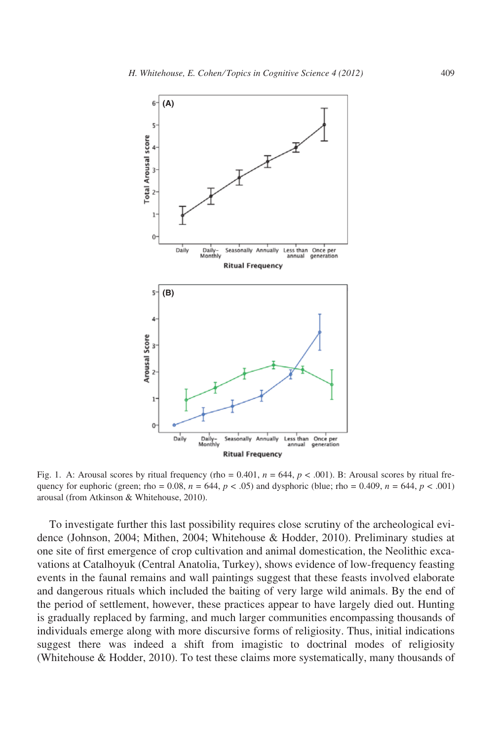

Fig. 1. A: Arousal scores by ritual frequency (rho = 0.401,  $n = 644$ ,  $p < .001$ ). B: Arousal scores by ritual frequency for euphoric (green; rho = 0.08,  $n = 644$ ,  $p < .05$ ) and dysphoric (blue; rho = 0.409,  $n = 644$ ,  $p < .001$ ) arousal (from Atkinson & Whitehouse, 2010).

To investigate further this last possibility requires close scrutiny of the archeological evidence (Johnson, 2004; Mithen, 2004; Whitehouse & Hodder, 2010). Preliminary studies at one site of first emergence of crop cultivation and animal domestication, the Neolithic excavations at Catalhoyuk (Central Anatolia, Turkey), shows evidence of low-frequency feasting events in the faunal remains and wall paintings suggest that these feasts involved elaborate and dangerous rituals which included the baiting of very large wild animals. By the end of the period of settlement, however, these practices appear to have largely died out. Hunting is gradually replaced by farming, and much larger communities encompassing thousands of individuals emerge along with more discursive forms of religiosity. Thus, initial indications suggest there was indeed a shift from imagistic to doctrinal modes of religiosity (Whitehouse & Hodder, 2010). To test these claims more systematically, many thousands of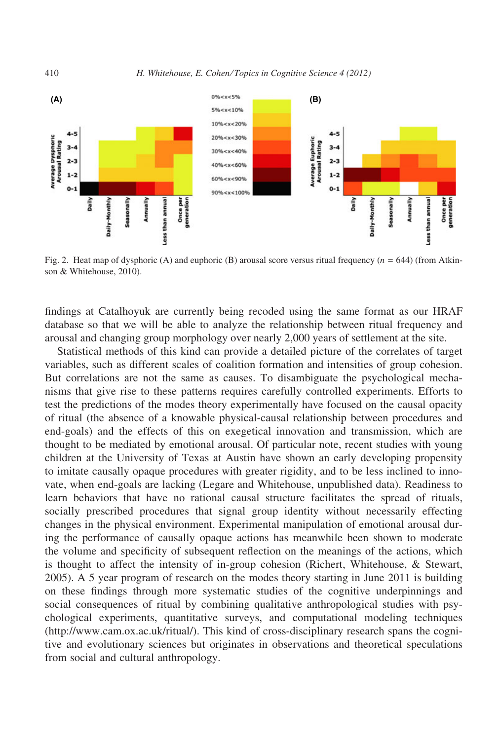

Fig. 2. Heat map of dysphoric (A) and euphoric (B) arousal score versus ritual frequency ( $n = 644$ ) (from Atkinson & Whitehouse, 2010).

findings at Catalhoyuk are currently being recoded using the same format as our HRAF database so that we will be able to analyze the relationship between ritual frequency and arousal and changing group morphology over nearly 2,000 years of settlement at the site.

Statistical methods of this kind can provide a detailed picture of the correlates of target variables, such as different scales of coalition formation and intensities of group cohesion. But correlations are not the same as causes. To disambiguate the psychological mechanisms that give rise to these patterns requires carefully controlled experiments. Efforts to test the predictions of the modes theory experimentally have focused on the causal opacity of ritual (the absence of a knowable physical-causal relationship between procedures and end-goals) and the effects of this on exegetical innovation and transmission, which are thought to be mediated by emotional arousal. Of particular note, recent studies with young children at the University of Texas at Austin have shown an early developing propensity to imitate causally opaque procedures with greater rigidity, and to be less inclined to innovate, when end-goals are lacking (Legare and Whitehouse, unpublished data). Readiness to learn behaviors that have no rational causal structure facilitates the spread of rituals, socially prescribed procedures that signal group identity without necessarily effecting changes in the physical environment. Experimental manipulation of emotional arousal during the performance of causally opaque actions has meanwhile been shown to moderate the volume and specificity of subsequent reflection on the meanings of the actions, which is thought to affect the intensity of in-group cohesion (Richert, Whitehouse, & Stewart, 2005). A 5 year program of research on the modes theory starting in June 2011 is building on these findings through more systematic studies of the cognitive underpinnings and social consequences of ritual by combining qualitative anthropological studies with psychological experiments, quantitative surveys, and computational modeling techniques (http://www.cam.ox.ac.uk/ritual/). This kind of cross-disciplinary research spans the cognitive and evolutionary sciences but originates in observations and theoretical speculations from social and cultural anthropology.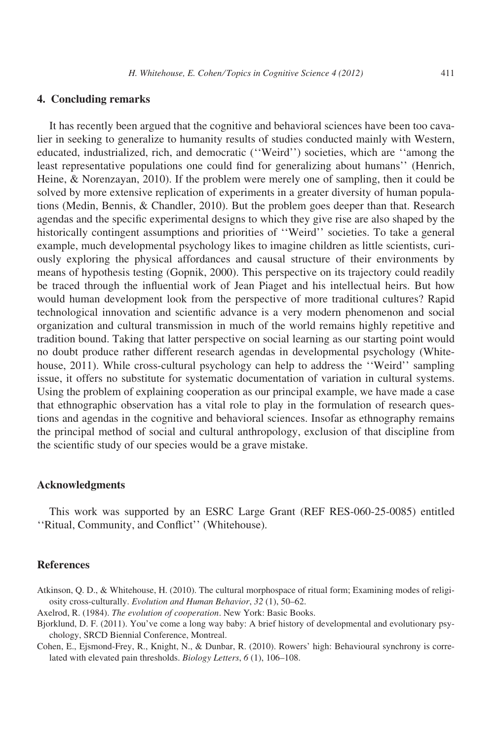#### 4. Concluding remarks

It has recently been argued that the cognitive and behavioral sciences have been too cavalier in seeking to generalize to humanity results of studies conducted mainly with Western, educated, industrialized, rich, and democratic (''Weird'') societies, which are ''among the least representative populations one could find for generalizing about humans'' (Henrich, Heine, & Norenzayan, 2010). If the problem were merely one of sampling, then it could be solved by more extensive replication of experiments in a greater diversity of human populations (Medin, Bennis, & Chandler, 2010). But the problem goes deeper than that. Research agendas and the specific experimental designs to which they give rise are also shaped by the historically contingent assumptions and priorities of "Weird" societies. To take a general example, much developmental psychology likes to imagine children as little scientists, curiously exploring the physical affordances and causal structure of their environments by means of hypothesis testing (Gopnik, 2000). This perspective on its trajectory could readily be traced through the influential work of Jean Piaget and his intellectual heirs. But how would human development look from the perspective of more traditional cultures? Rapid technological innovation and scientific advance is a very modern phenomenon and social organization and cultural transmission in much of the world remains highly repetitive and tradition bound. Taking that latter perspective on social learning as our starting point would no doubt produce rather different research agendas in developmental psychology (Whitehouse, 2011). While cross-cultural psychology can help to address the ''Weird'' sampling issue, it offers no substitute for systematic documentation of variation in cultural systems. Using the problem of explaining cooperation as our principal example, we have made a case that ethnographic observation has a vital role to play in the formulation of research questions and agendas in the cognitive and behavioral sciences. Insofar as ethnography remains the principal method of social and cultural anthropology, exclusion of that discipline from the scientific study of our species would be a grave mistake.

#### Acknowledgments

This work was supported by an ESRC Large Grant (REF RES-060-25-0085) entitled ''Ritual, Community, and Conflict'' (Whitehouse).

### **References**

Atkinson, Q. D., & Whitehouse, H. (2010). The cultural morphospace of ritual form; Examining modes of religiosity cross-culturally. Evolution and Human Behavior, 32 (1), 50–62.

Axelrod, R. (1984). The evolution of cooperation. New York: Basic Books.

- Bjorklund, D. F. (2011). You've come a long way baby: A brief history of developmental and evolutionary psychology, SRCD Biennial Conference, Montreal.
- Cohen, E., Ejsmond-Frey, R., Knight, N., & Dunbar, R. (2010). Rowers' high: Behavioural synchrony is correlated with elevated pain thresholds. Biology Letters, 6 (1), 106–108.